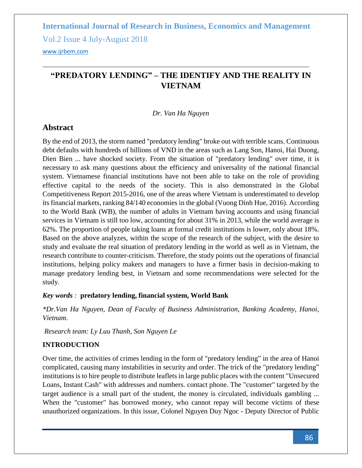Vol.2 Issue 4 July-August 2018

<www.ijrbem.com>

### **"PREDATORY LENDING" – THE IDENTIFY AND THE REALITY IN VIETNAM**

### *Dr. Van Ha Nguyen*

### **Abstract**

By the end of 2013, the storm named "predatory lending" broke out with terrible scans. Continuous debt defaults with hundreds of billions of VND in the areas such as Lang Son, Hanoi, Hai Duong, Dien Bien ... have shocked society. From the situation of "predatory lending" over time, it is necessary to ask many questions about the efficiency and universality of the national financial system. Vietnamese financial institutions have not been able to take on the role of providing effective capital to the needs of the society. This is also demonstrated in the Global Competitiveness Report 2015-2016, one of the areas where Vietnam is underestimated to develop its financial markets, ranking 84/140 economies in the global (Vuong Dinh Hue, 2016). According to the World Bank (WB), the number of adults in Vietnam having accounts and using financial services in Vietnam is still too low, accounting for about 31% in 2013, while the world average is 62%. The proportion of people taking loans at formal credit institutions is lower, only about 18%. Based on the above analyzes, within the scope of the research of the subject, with the desire to study and evaluate the real situation of predatory lending in the world as well as in Vietnam, the research contribute to counter-criticism. Therefore, the study points out the operations of financial institutions, helping policy makers and managers to have a firmer basis in decision-making to manage predatory lending best, in Vietnam and some recommendations were selected for the study.

### *Key words :* **predatory lending, financial system, World Bank**

*\*Dr.Van Ha Nguyen, Dean of Faculty of Business Administration, Banking Academy, Hanoi, Vietnam.* 

*Research team: Ly Luu Thanh, Son Nguyen Le*

### **INTRODUCTION**

Over time, the activities of crimes lending in the form of "predatory lending" in the area of Hanoi complicated, causing many instabilities in security and order. The trick of the "predatory lending" institutions is to hire people to distribute leaflets in large public places with the content "Unsecured Loans, Instant Cash" with addresses and numbers. contact phone. The "customer" targeted by the target audience is a small part of the student, the money is circulated, individuals gambling ... When the "customer" has borrowed money, who cannot repay will become victims of these unauthorized organizations. In this issue, Colonel Nguyen Duy Ngoc - Deputy Director of Public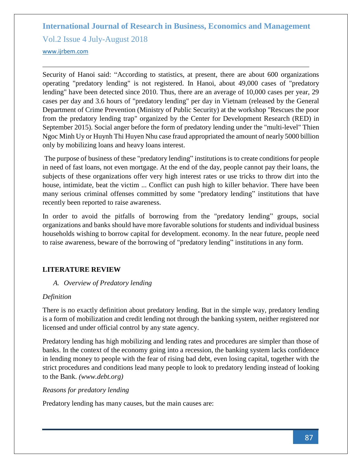Vol.2 Issue 4 July-August 2018

<www.ijrbem.com>

Security of Hanoi said: "According to statistics, at present, there are about 600 organizations operating "predatory lending" is not registered. In Hanoi, about 49,000 cases of "predatory lending" have been detected since 2010. Thus, there are an average of 10,000 cases per year, 29 cases per day and 3.6 hours of "predatory lending" per day in Vietnam (released by the General Department of Crime Prevention (Ministry of Public Security) at the workshop "Rescues the poor from the predatory lending trap" organized by the Center for Development Research (RED) in September 2015). Social anger before the form of predatory lending under the "multi-level" Thien Ngoc Minh Uy or Huynh Thi Huyen Nhu case fraud appropriated the amount of nearly 5000 billion only by mobilizing loans and heavy loans interest.

The purpose of business of these "predatory lending" institutions is to create conditions for people in need of fast loans, not even mortgage. At the end of the day, people cannot pay their loans, the subjects of these organizations offer very high interest rates or use tricks to throw dirt into the house, intimidate, beat the victim ... Conflict can push high to killer behavior. There have been many serious criminal offenses committed by some "predatory lending" institutions that have recently been reported to raise awareness.

In order to avoid the pitfalls of borrowing from the "predatory lending" groups, social organizations and banks should have more favorable solutions for students and individual business households wishing to borrow capital for development. economy. In the near future, people need to raise awareness, beware of the borrowing of "predatory lending" institutions in any form.

### **LITERATURE REVIEW**

### *A. Overview of Predatory lending*

#### *Definition*

There is no exactly definition about predatory lending. But in the simple way, predatory lending is a form of mobilization and credit lending not through the banking system, neither registered nor licensed and under official control by any state agency.

Predatory lending has high mobilizing and lending rates and procedures are simpler than those of banks. In the context of the economy going into a recession, the banking system lacks confidence in lending money to people with the fear of rising bad debt, even losing capital, together with the strict procedures and conditions lead many people to look to predatory lending instead of looking to the Bank. *(www.debt.org)*

### *Reasons for predatory lending*

Predatory lending has many causes, but the main causes are: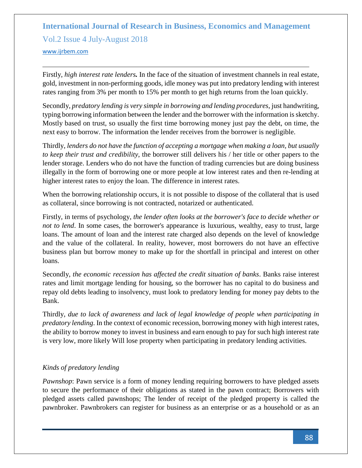Vol.2 Issue 4 July-August 2018

#### <www.ijrbem.com>

Firstly, *high interest rate lenders.* In the face of the situation of investment channels in real estate, gold, investment in non-performing goods, idle money was put into predatory lending with interest rates ranging from 3% per month to 15% per month to get high returns from the loan quickly.

Secondly, *predatory lending is very simple in borrowing and lending procedures*, just handwriting, typing borrowing information between the lender and the borrower with the information is sketchy. Mostly based on trust, so usually the first time borrowing money just pay the debt, on time, the next easy to borrow. The information the lender receives from the borrower is negligible.

Thirdly, *lenders do not have the function of accepting a mortgage when making a loan, but usually to keep their trust and credibility*, the borrower still delivers his / her title or other papers to the lender storage. Lenders who do not have the function of trading currencies but are doing business illegally in the form of borrowing one or more people at low interest rates and then re-lending at higher interest rates to enjoy the loan. The difference in interest rates.

When the borrowing relationship occurs, it is not possible to dispose of the collateral that is used as collateral, since borrowing is not contracted, notarized or authenticated.

Firstly, in terms of psychology, *the lender often looks at the borrower's face to decide whether or not to lend*. In some cases, the borrower's appearance is luxurious, wealthy, easy to trust, large loans. The amount of loan and the interest rate charged also depends on the level of knowledge and the value of the collateral. In reality, however, most borrowers do not have an effective business plan but borrow money to make up for the shortfall in principal and interest on other loans.

Secondly, *the economic recession has affected the credit situation of banks*. Banks raise interest rates and limit mortgage lending for housing, so the borrower has no capital to do business and repay old debts leading to insolvency, must look to predatory lending for money pay debts to the Bank.

Thirdly, *due to lack of awareness and lack of legal knowledge of people when participating in predatory lending*. In the context of economic recession, borrowing money with high interest rates, the ability to borrow money to invest in business and earn enough to pay for such high interest rate is very low, more likely Will lose property when participating in predatory lending activities.

### *Kinds of predatory lending*

*Pawnshop*: Pawn service is a form of money lending requiring borrowers to have pledged assets to secure the performance of their obligations as stated in the pawn contract; Borrowers with pledged assets called pawnshops; The lender of receipt of the pledged property is called the pawnbroker. Pawnbrokers can register for business as an enterprise or as a household or as an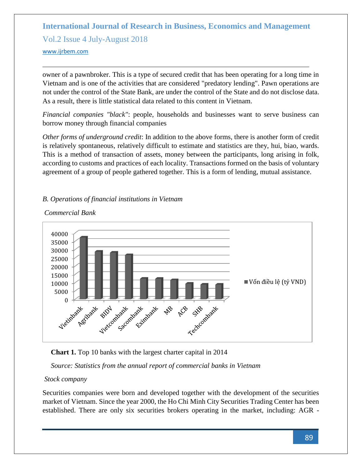Vol.2 Issue 4 July-August 2018

#### <www.ijrbem.com>

owner of a pawnbroker. This is a type of secured credit that has been operating for a long time in Vietnam and is one of the activities that are considered "predatory lending". Pawn operations are not under the control of the State Bank, are under the control of the State and do not disclose data. As a result, there is little statistical data related to this content in Vietnam.

*Financial companies "black"*: people, households and businesses want to serve business can borrow money through financial companies

*Other forms of underground credit*: In addition to the above forms, there is another form of credit is relatively spontaneous, relatively difficult to estimate and statistics are they, hui, biao, wards. This is a method of transaction of assets, money between the participants, long arising in folk, according to customs and practices of each locality. Transactions formed on the basis of voluntary agreement of a group of people gathered together. This is a form of lending, mutual assistance.

### *B. Operations of financial institutions in Vietnam*



#### *Commercial Bank*

**Chart 1.** Top 10 banks with the largest charter capital in 2014

*Source: Statistics from the annual report of commercial banks in Vietnam*

### *Stock company*

Securities companies were born and developed together with the development of the securities market of Vietnam. Since the year 2000, the Ho Chi Minh City Securities Trading Center has been established. There are only six securities brokers operating in the market, including: AGR -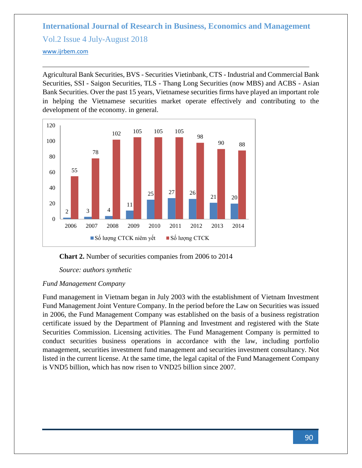# **International Journal of Research in Business, Economics and Management**  Vol.2 Issue 4 July-August 2018

<www.ijrbem.com>

Agricultural Bank Securities, BVS - Securities Vietinbank, CTS - Industrial and Commercial Bank Securities, SSI - Saigon Securities, TLS - Thang Long Securities (now MBS) and ACBS - Asian Bank Securities. Over the past 15 years, Vietnamese securities firms have played an important role in helping the Vietnamese securities market operate effectively and contributing to the development of the economy. in general.



**Chart 2.** Number of securities companies from 2006 to 2014

*Source: authors synthetic*

### *Fund Management Company*

Fund management in Vietnam began in July 2003 with the establishment of Vietnam Investment Fund Management Joint Venture Company. In the period before the Law on Securities was issued in 2006, the Fund Management Company was established on the basis of a business registration certificate issued by the Department of Planning and Investment and registered with the State Securities Commission. Licensing activities. The Fund Management Company is permitted to conduct securities business operations in accordance with the law, including portfolio management, securities investment fund management and securities investment consultancy. Not listed in the current license. At the same time, the legal capital of the Fund Management Company is VND5 billion, which has now risen to VND25 billion since 2007.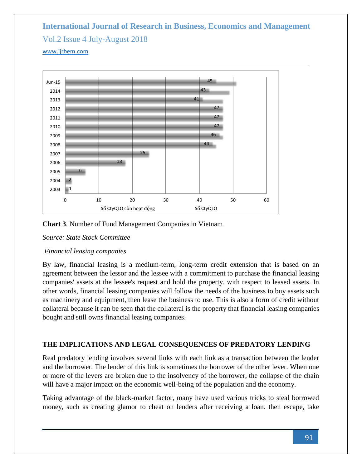# **International Journal of Research in Business, Economics and Management**  Vol.2 Issue 4 July-August 2018 <www.ijrbem.com>



**Chart 3**. Number of Fund Management Companies in Vietnam

*Source: State Stock Committee*

### *Financial leasing companies*

By law, financial leasing is a medium-term, long-term credit extension that is based on an agreement between the lessor and the lessee with a commitment to purchase the financial leasing companies' assets at the lessee's request and hold the property. with respect to leased assets. In other words, financial leasing companies will follow the needs of the business to buy assets such as machinery and equipment, then lease the business to use. This is also a form of credit without collateral because it can be seen that the collateral is the property that financial leasing companies bought and still owns financial leasing companies.

### **THE IMPLICATIONS AND LEGAL CONSEQUENCES OF PREDATORY LENDING**

Real predatory lending involves several links with each link as a transaction between the lender and the borrower. The lender of this link is sometimes the borrower of the other lever. When one or more of the levers are broken due to the insolvency of the borrower, the collapse of the chain will have a major impact on the economic well-being of the population and the economy.

Taking advantage of the black-market factor, many have used various tricks to steal borrowed money, such as creating glamor to cheat on lenders after receiving a loan. then escape, take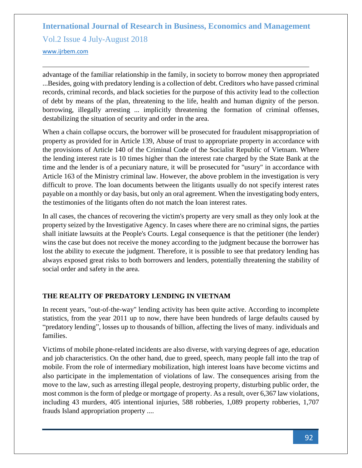# **International Journal of Research in Business, Economics and Management**  Vol.2 Issue 4 July-August 2018

<www.ijrbem.com>

advantage of the familiar relationship in the family, in society to borrow money then appropriated ...Besides, going with predatory lending is a collection of debt. Creditors who have passed criminal records, criminal records, and black societies for the purpose of this activity lead to the collection of debt by means of the plan, threatening to the life, health and human dignity of the person. borrowing, illegally arresting ... implicitly threatening the formation of criminal offenses, destabilizing the situation of security and order in the area.

When a chain collapse occurs, the borrower will be prosecuted for fraudulent misappropriation of property as provided for in Article 139, Abuse of trust to appropriate property in accordance with the provisions of Article 140 of the Criminal Code of the Socialist Republic of Vietnam. Where the lending interest rate is 10 times higher than the interest rate charged by the State Bank at the time and the lender is of a pecuniary nature, it will be prosecuted for "usury" in accordance with Article 163 of the Ministry criminal law. However, the above problem in the investigation is very difficult to prove. The loan documents between the litigants usually do not specify interest rates payable on a monthly or day basis, but only an oral agreement. When the investigating body enters, the testimonies of the litigants often do not match the loan interest rates.

In all cases, the chances of recovering the victim's property are very small as they only look at the property seized by the Investigative Agency. In cases where there are no criminal signs, the parties shall initiate lawsuits at the People's Courts. Legal consequence is that the petitioner (the lender) wins the case but does not receive the money according to the judgment because the borrower has lost the ability to execute the judgment. Therefore, it is possible to see that predatory lending has always exposed great risks to both borrowers and lenders, potentially threatening the stability of social order and safety in the area.

### **THE REALITY OF PREDATORY LENDING IN VIETNAM**

In recent years, "out-of-the-way" lending activity has been quite active. According to incomplete statistics, from the year 2011 up to now, there have been hundreds of large defaults caused by "predatory lending", losses up to thousands of billion, affecting the lives of many. individuals and families.

Victims of mobile phone-related incidents are also diverse, with varying degrees of age, education and job characteristics. On the other hand, due to greed, speech, many people fall into the trap of mobile. From the role of intermediary mobilization, high interest loans have become victims and also participate in the implementation of violations of law. The consequences arising from the move to the law, such as arresting illegal people, destroying property, disturbing public order, the most common is the form of pledge or mortgage of property. As a result, over 6,367 law violations, including 43 murders, 405 intentional injuries, 588 robberies, 1,089 property robberies, 1,707 frauds Island appropriation property ....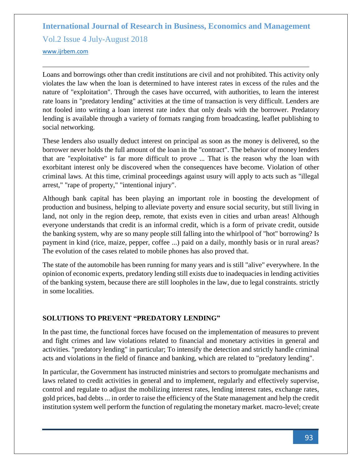Vol.2 Issue 4 July-August 2018

<www.ijrbem.com>

Loans and borrowings other than credit institutions are civil and not prohibited. This activity only violates the law when the loan is determined to have interest rates in excess of the rules and the nature of "exploitation". Through the cases have occurred, with authorities, to learn the interest rate loans in "predatory lending" activities at the time of transaction is very difficult. Lenders are not fooled into writing a loan interest rate index that only deals with the borrower. Predatory lending is available through a variety of formats ranging from broadcasting, leaflet publishing to social networking.

These lenders also usually deduct interest on principal as soon as the money is delivered, so the borrower never holds the full amount of the loan in the "contract". The behavior of money lenders that are "exploitative" is far more difficult to prove ... That is the reason why the loan with exorbitant interest only be discovered when the consequences have become. Violation of other criminal laws. At this time, criminal proceedings against usury will apply to acts such as "illegal arrest," "rape of property," "intentional injury".

Although bank capital has been playing an important role in boosting the development of production and business, helping to alleviate poverty and ensure social security, but still living in land, not only in the region deep, remote, that exists even in cities and urban areas! Although everyone understands that credit is an informal credit, which is a form of private credit, outside the banking system, why are so many people still falling into the whirlpool of "hot" borrowing? Is payment in kind (rice, maize, pepper, coffee ...) paid on a daily, monthly basis or in rural areas? The evolution of the cases related to mobile phones has also proved that.

The state of the automobile has been running for many years and is still "alive" everywhere. In the opinion of economic experts, predatory lending still exists due to inadequacies in lending activities of the banking system, because there are still loopholes in the law, due to legal constraints. strictly in some localities.

### **SOLUTIONS TO PREVENT "PREDATORY LENDING"**

In the past time, the functional forces have focused on the implementation of measures to prevent and fight crimes and law violations related to financial and monetary activities in general and activities. "predatory lending" in particular; To intensify the detection and strictly handle criminal acts and violations in the field of finance and banking, which are related to "predatory lending".

In particular, the Government has instructed ministries and sectors to promulgate mechanisms and laws related to credit activities in general and to implement, regularly and effectively supervise, control and regulate to adjust the mobilizing interest rates, lending interest rates, exchange rates, gold prices, bad debts ... in order to raise the efficiency of the State management and help the credit institution system well perform the function of regulating the monetary market. macro-level; create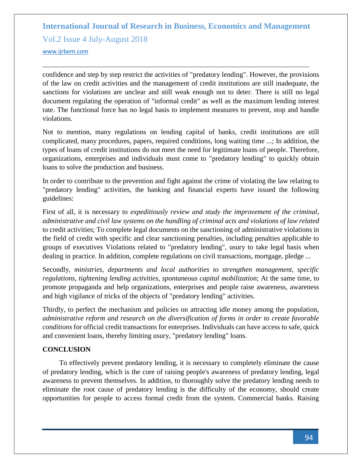Vol.2 Issue 4 July-August 2018

<www.ijrbem.com>

confidence and step by step restrict the activities of "predatory lending". However, the provisions of the law on credit activities and the management of credit institutions are still inadequate, the sanctions for violations are unclear and still weak enough not to deter. There is still no legal document regulating the operation of "informal credit" as well as the maximum lending interest rate. The functional force has no legal basis to implement measures to prevent, stop and handle violations.

Not to mention, many regulations on lending capital of banks, credit institutions are still complicated, many procedures, papers, required conditions, long waiting time ...; In addition, the types of loans of credit institutions do not meet the need for legitimate loans of people. Therefore, organizations, enterprises and individuals must come to "predatory lending" to quickly obtain loans to solve the production and business.

In order to contribute to the prevention and fight against the crime of violating the law relating to "predatory lending" activities, the banking and financial experts have issued the following guidelines:

First of all, it is necessary to *expeditiously review and study the improvement of the criminal, administrative and civil law systems on the handling of criminal acts and violations of law related* to credit activities; To complete legal documents on the sanctioning of administrative violations in the field of credit with specific and clear sanctioning penalties, including penalties applicable to groups of executives Violations related to "predatory lending", usury to take legal basis when dealing in practice. In addition, complete regulations on civil transactions, mortgage, pledge ...

Secondly, *ministries, departments and local authorities to strengthen management, specific regulations, tightening lending activities, spontaneous capital mobilization*; At the same time, to promote propaganda and help organizations, enterprises and people raise awareness, awareness and high vigilance of tricks of the objects of "predatory lending" activities.

Thirdly, to perfect the mechanism and policies on attracting idle money among the population, *administrative reform and research on the diversification of forms in order to create favorable conditions* for official credit transactions for enterprises. Individuals can have access to safe, quick and convenient loans, thereby limiting usury, "predatory lending" loans.

### **CONCLUSION**

To effectively prevent predatory lending, it is necessary to completely eliminate the cause of predatory lending, which is the core of raising people's awareness of predatory lending, legal awareness to prevent themselves. In addition, to thoroughly solve the predatory lending needs to eliminate the root cause of predatory lending is the difficulty of the economy, should create opportunities for people to access formal credit from the system. Commercial banks. Raising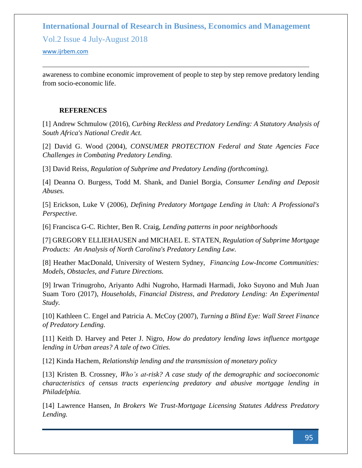Vol.2 Issue 4 July-August 2018

#### <www.ijrbem.com>

awareness to combine economic improvement of people to step by step remove predatory lending from socio-economic life.

### **REFERENCES**

[1] Andrew Schmulow (2016), *Curbing Reckless and Predatory Lending: A Statutory Analysis of South Africa's National Credit Act.*

[2] David G. Wood (2004), *CONSUMER PROTECTION Federal and State Agencies Face Challenges in Combating Predatory Lending.*

[3] David Reiss, *Regulation of Subprime and Predatory Lending (forthcoming).*

[4] Deanna O. Burgess, Todd M. Shank, and Daniel Borgia, *Consumer Lending and Deposit Abuses.*

[5] Erickson, Luke V (2006), *Defining Predatory Mortgage Lending in Utah: A Professional's Perspective.*

[6] Francisca G-C. Richter, Ben R. Craig, *Lending patterns in poor neighborhoods*

[7] GREGORY ELLIEHAUSEN and MICHAEL E. STATEN, *Regulation of Subprime Mortgage Products: An Analysis of North Carolina's Predatory Lending Law.*

[8] Heather MacDonald, University of Western Sydney, *Financing Low-Income Communities: Models, Obstacles, and Future Directions.*

[9] Irwan Trinugroho, Ariyanto Adhi Nugroho, Harmadi Harmadi, Joko Suyono and Muh Juan Suam Toro (2017), *Households, Financial Distress, and Predatory Lending: An Experimental Study.*

[10] Kathleen C. Engel and Patricia A. McCoy (2007), *Turning a Blind Eye: Wall Street Finance of Predatory Lending.*

[11] Keith D. Harvey and Peter J. Nigro, *How do predatory lending laws influence mortgage lending in Urban areas? A tale of two Cities.*

[12] Kinda Hachem, *Relationship lending and the transmission of monetary policy*

[13] Kristen B. Crossney, *Who's at-risk? A case study of the demographic and socioeconomic characteristics of census tracts experiencing predatory and abusive mortgage lending in Philadelphia.*

[14] Lawrence Hansen, *In Brokers We Trust-Mortgage Licensing Statutes Address Predatory Lending.*